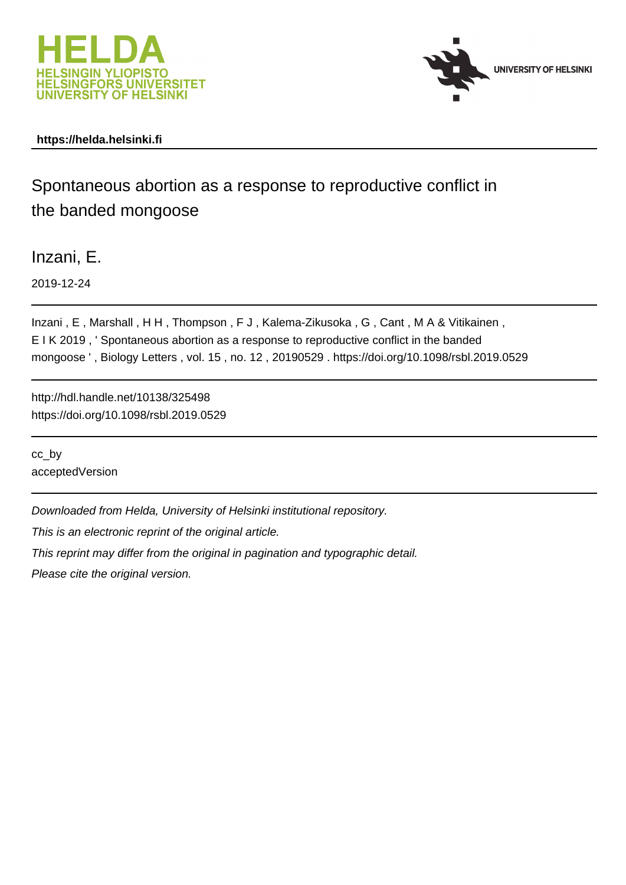



## **https://helda.helsinki.fi**

# Spontaneous abortion as a response to reproductive conflict in the banded mongoose

Inzani, E.

2019-12-24

Inzani , E , Marshall , H H , Thompson , F J , Kalema-Zikusoka , G , Cant , M A & Vitikainen , E I K 2019 , ' Spontaneous abortion as a response to reproductive conflict in the banded mongoose ' , Biology Letters , vol. 15 , no. 12 , 20190529 . https://doi.org/10.1098/rsbl.2019.0529

http://hdl.handle.net/10138/325498 https://doi.org/10.1098/rsbl.2019.0529

cc\_by acceptedVersion

Downloaded from Helda, University of Helsinki institutional repository.

This is an electronic reprint of the original article.

This reprint may differ from the original in pagination and typographic detail.

Please cite the original version.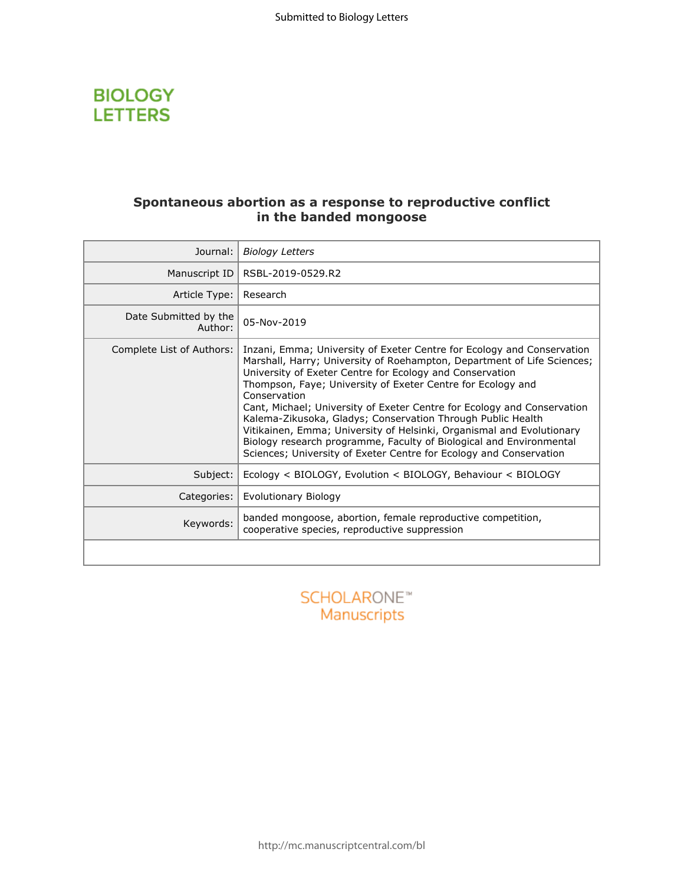

## **Spontaneous abortion as a response to reproductive conflict in the banded mongoose**

| Journal:                         | <b>Biology Letters</b>                                                                                                                                                                                                                                                                                                                                                                                                                                                                                                                                                                                                                                       |
|----------------------------------|--------------------------------------------------------------------------------------------------------------------------------------------------------------------------------------------------------------------------------------------------------------------------------------------------------------------------------------------------------------------------------------------------------------------------------------------------------------------------------------------------------------------------------------------------------------------------------------------------------------------------------------------------------------|
| Manuscript ID                    | RSBL-2019-0529.R2                                                                                                                                                                                                                                                                                                                                                                                                                                                                                                                                                                                                                                            |
| Article Type:                    | Research                                                                                                                                                                                                                                                                                                                                                                                                                                                                                                                                                                                                                                                     |
| Date Submitted by the<br>Author: | 05-Nov-2019                                                                                                                                                                                                                                                                                                                                                                                                                                                                                                                                                                                                                                                  |
| Complete List of Authors:        | Inzani, Emma; University of Exeter Centre for Ecology and Conservation<br>Marshall, Harry; University of Roehampton, Department of Life Sciences;<br>University of Exeter Centre for Ecology and Conservation<br>Thompson, Faye; University of Exeter Centre for Ecology and<br>Conservation<br>Cant, Michael; University of Exeter Centre for Ecology and Conservation<br>Kalema-Zikusoka, Gladys; Conservation Through Public Health<br>Vitikainen, Emma; University of Helsinki, Organismal and Evolutionary<br>Biology research programme, Faculty of Biological and Environmental<br>Sciences; University of Exeter Centre for Ecology and Conservation |
| Subject:                         | Ecology < BIOLOGY, Evolution < BIOLOGY, Behaviour < BIOLOGY                                                                                                                                                                                                                                                                                                                                                                                                                                                                                                                                                                                                  |
| Categories:                      | Evolutionary Biology                                                                                                                                                                                                                                                                                                                                                                                                                                                                                                                                                                                                                                         |
| Keywords:                        | banded mongoose, abortion, female reproductive competition,<br>cooperative species, reproductive suppression                                                                                                                                                                                                                                                                                                                                                                                                                                                                                                                                                 |
|                                  |                                                                                                                                                                                                                                                                                                                                                                                                                                                                                                                                                                                                                                                              |
|                                  |                                                                                                                                                                                                                                                                                                                                                                                                                                                                                                                                                                                                                                                              |

Manuscripts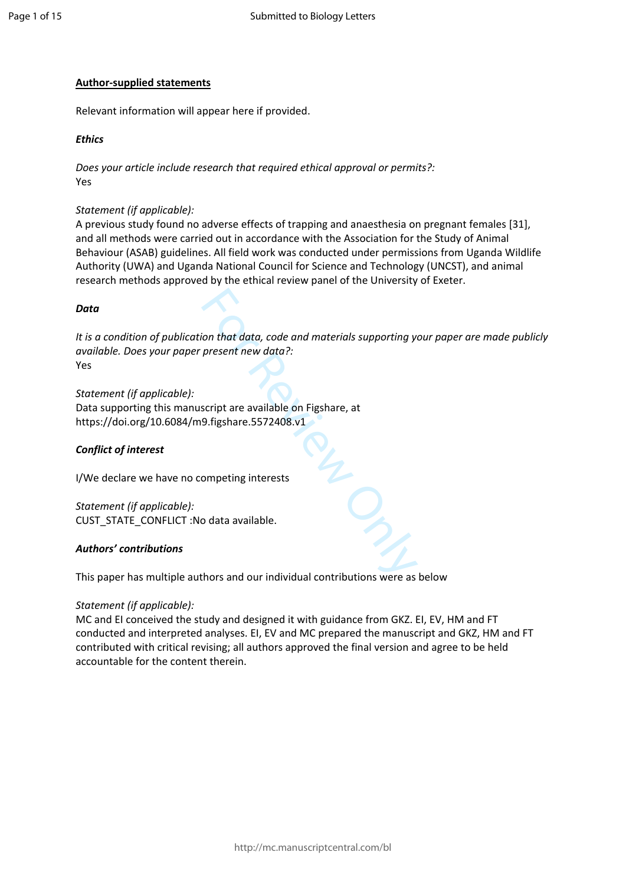#### **Author-supplied statements**

Relevant information will appear here if provided.

#### *Ethics*

*Does your article include research that required ethical approval or permits?:* Yes

#### *Statement (if applicable):*

A previous study found no adverse effects of trapping and anaesthesia on pregnant females [31], and all methods were carried out in accordance with the Association for the Study of Animal Behaviour (ASAB) guidelines. All field work was conducted under permissions from Uganda Wildlife Authority (UWA) and Uganda National Council for Science and Technology (UNCST), and animal research methods approved by the ethical review panel of the University of Exeter.

#### *Data*

For the data, code and materials supporting yinder the data code and materials supporting yinder and the secript are available on Figshare, at<br>Secript are available on Figshare, at<br>pompeting interests<br>of data available. *It is a condition of publication that data, code and materials supporting your paper are made publicly available. Does your paper present new data?:* Yes

*Statement (if applicable):* Data supporting this manuscript are available on Figshare, at https://doi.org/10.6084/m9.figshare.5572408.v1

#### *Conflict of interest*

I/We declare we have no competing interests

*Statement (if applicable):* CUST\_STATE\_CONFLICT :No data available.

#### *Authors' contributions*

This paper has multiple authors and our individual contributions were as below

#### *Statement (if applicable):*

MC and EI conceived the study and designed it with guidance from GKZ. EI, EV, HM and FT conducted and interpreted analyses. EI, EV and MC prepared the manuscript and GKZ, HM and FT contributed with critical revising; all authors approved the final version and agree to be held accountable for the content therein.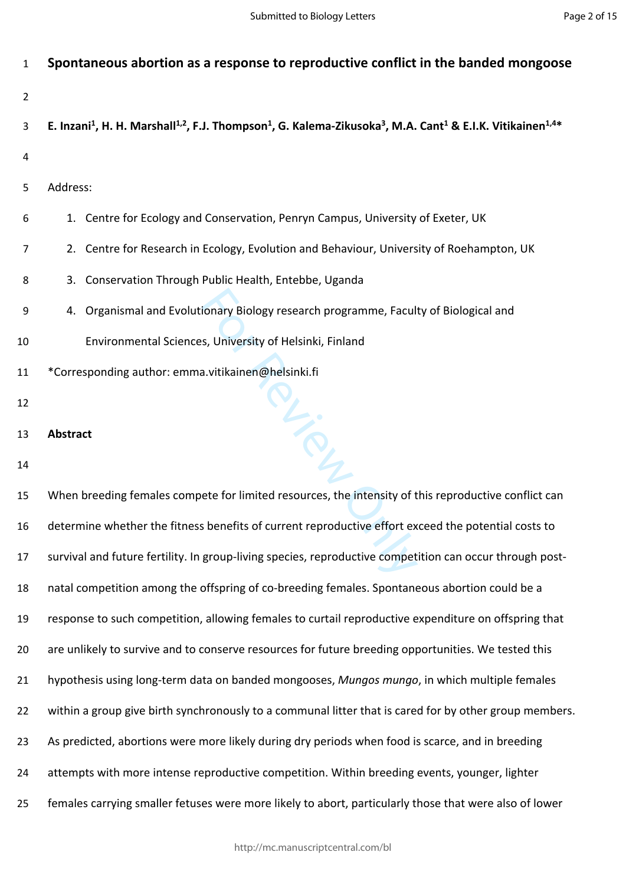# **Spontaneous abortion as a response to reproductive conflict in the banded mongoose**

**E. Inzani<sup>1</sup> , H. H. Marshall1,2, F.J. Thompson<sup>1</sup> , G. Kalema-Zikusoka<sup>3</sup> , M.A. Cant<sup>1</sup> & E.I.K. Vitikainen1,4\***

- 
- Address:
- 1. Centre for Ecology and Conservation, Penryn Campus, University of Exeter, UK
- 2. Centre for Research in Ecology, Evolution and Behaviour, University of Roehampton, UK
- 3. Conservation Through Public Health, Entebbe, Uganda
- 4. Organismal and Evolutionary Biology research programme, Faculty of Biological and
- Environmental Sciences, University of Helsinki, Finland
- \*Corresponding author: emma.vitikainen@helsinki.fi
- 
- **Abstract**
- 

For Review Only When breeding females compete for limited resources, the intensity of this reproductive conflict can determine whether the fitness benefits of current reproductive effort exceed the potential costs to survival and future fertility. In group-living species, reproductive competition can occur through post- natal competition among the offspring of co-breeding females. Spontaneous abortion could be a response to such competition, allowing females to curtail reproductive expenditure on offspring that 20 are unlikely to survive and to conserve resources for future breeding opportunities. We tested this hypothesis using long-term data on banded mongooses, *Mungos mungo*, in which multiple females 22 within a group give birth synchronously to a communal litter that is cared for by other group members. As predicted, abortions were more likely during dry periods when food is scarce, and in breeding attempts with more intense reproductive competition. Within breeding events, younger, lighter females carrying smaller fetuses were more likely to abort, particularly those that were also of lower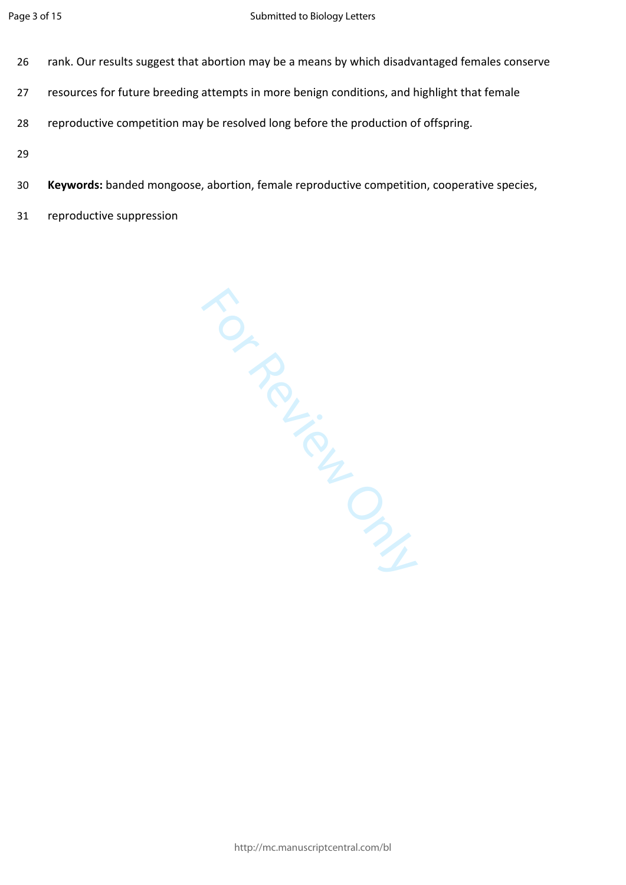- 26 rank. Our results suggest that abortion may be a means by which disadvantaged females conserve
- 27 resources for future breeding attempts in more benign conditions, and highlight that female
- 28 reproductive competition may be resolved long before the production of offspring.
- 29
- 30 **Keywords:** banded mongoose, abortion, female reproductive competition, cooperative species,
- 31 reproductive suppression

For Review Only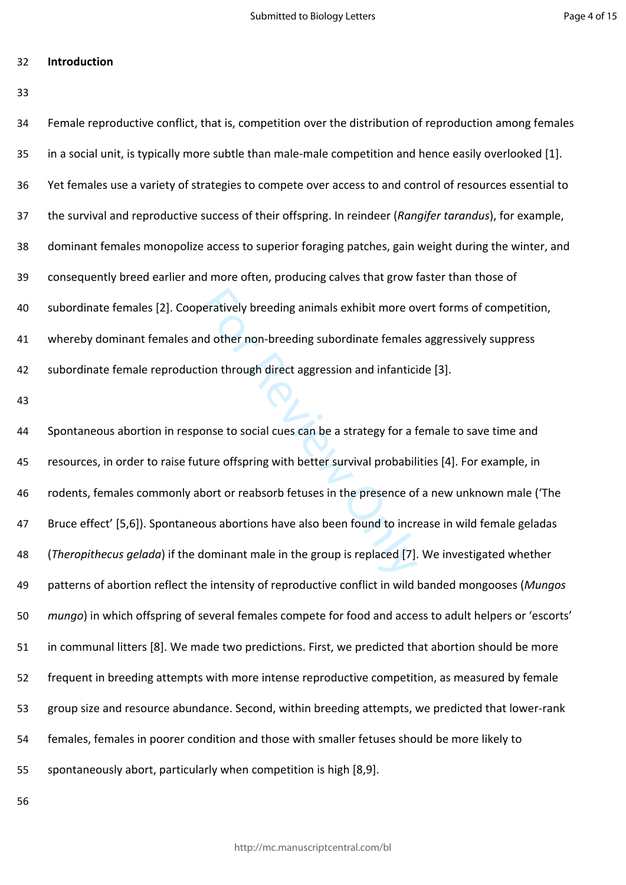**Introduction**

| 34 | Female reproductive conflict, that is, competition over the distribution of reproduction among females  |
|----|---------------------------------------------------------------------------------------------------------|
| 35 | in a social unit, is typically more subtle than male-male competition and hence easily overlooked [1].  |
| 36 | Yet females use a variety of strategies to compete over access to and control of resources essential to |
| 37 | the survival and reproductive success of their offspring. In reindeer (Rangifer tarandus), for example, |
| 38 | dominant females monopolize access to superior foraging patches, gain weight during the winter, and     |
| 39 | consequently breed earlier and more often, producing calves that grow faster than those of              |
| 40 | subordinate females [2]. Cooperatively breeding animals exhibit more overt forms of competition,        |
| 41 | whereby dominant females and other non-breeding subordinate females aggressively suppress               |
| 42 | subordinate female reproduction through direct aggression and infanticide [3].                          |
| 43 |                                                                                                         |
| 44 | Spontaneous abortion in response to social cues can be a strategy for a female to save time and         |
| 45 | resources, in order to raise future offspring with better survival probabilities [4]. For example, in   |
| 46 | rodents, females commonly abort or reabsorb fetuses in the presence of a new unknown male ('The         |
| 47 | Bruce effect' [5,6]). Spontaneous abortions have also been found to increase in wild female geladas     |
| 48 | (Theropithecus gelada) if the dominant male in the group is replaced [7]. We investigated whether       |
| 49 | patterns of abortion reflect the intensity of reproductive conflict in wild banded mongooses (Mungos    |
| 50 | mungo) in which offspring of several females compete for food and access to adult helpers or 'escorts'  |
| 51 | in communal litters [8]. We made two predictions. First, we predicted that abortion should be more      |
| 52 | frequent in breeding attempts with more intense reproductive competition, as measured by female         |
| 53 | group size and resource abundance. Second, within breeding attempts, we predicted that lower-rank       |
| 54 | females, females in poorer condition and those with smaller fetuses should be more likely to            |
|    |                                                                                                         |

spontaneously abort, particularly when competition is high [8,9].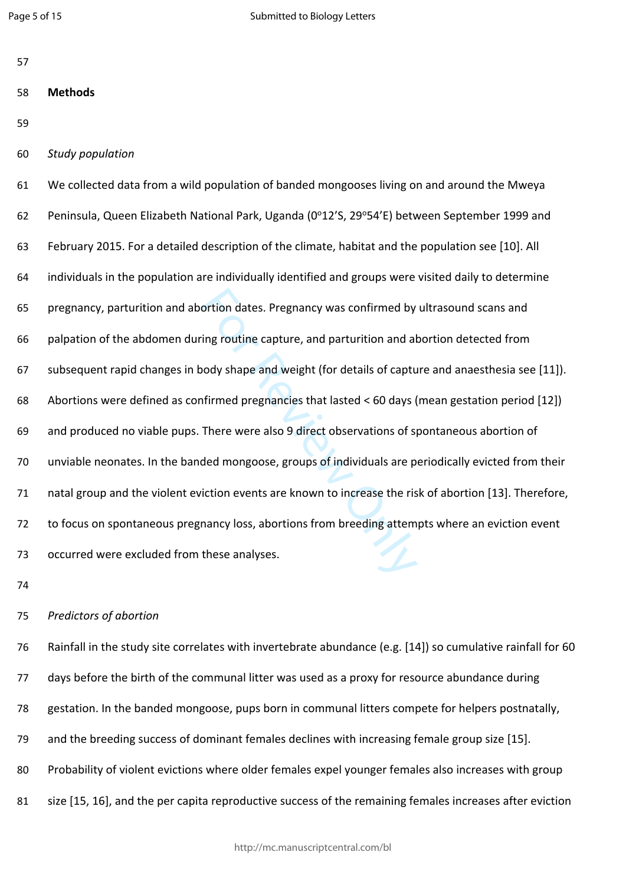| I<br>۰.<br>v |  |
|--------------|--|

### **Methods**

- 
- *Study population*

ortion dates. Pregnancy was confirmed by<br>
ing routine capture, and parturition and al<br>
hody shape and weight (for details of captu<br>
ifirmed pregnancies that lasted < 60 days (<br>
There were also 9 direct observations of s<br>
d We collected data from a wild population of banded mongooses living on and around the Mweya 62 Peninsula, Queen Elizabeth National Park, Uganda (0°12'S, 29°54'E) between September 1999 and February 2015. For a detailed description of the climate, habitat and the population see [10]. All individuals in the population are individually identified and groups were visited daily to determine pregnancy, parturition and abortion dates. Pregnancy was confirmed by ultrasound scans and palpation of the abdomen during routine capture, and parturition and abortion detected from subsequent rapid changes in body shape and weight (for details of capture and anaesthesia see [11]). Abortions were defined as confirmed pregnancies that lasted < 60 days (mean gestation period [12]) and produced no viable pups. There were also 9 direct observations of spontaneous abortion of unviable neonates. In the banded mongoose, groups of individuals are periodically evicted from their natal group and the violent eviction events are known to increase the risk of abortion [13]. Therefore, to focus on spontaneous pregnancy loss, abortions from breeding attempts where an eviction event occurred were excluded from these analyses.

#### *Predictors of abortion*

 Rainfall in the study site correlates with invertebrate abundance (e.g. [14]) so cumulative rainfall for 60 days before the birth of the communal litter was used as a proxy for resource abundance during gestation. In the banded mongoose, pups born in communal litters compete for helpers postnatally, and the breeding success of dominant females declines with increasing female group size [15]. Probability of violent evictions where older females expel younger females also increases with group

81 size [15, 16], and the per capita reproductive success of the remaining females increases after eviction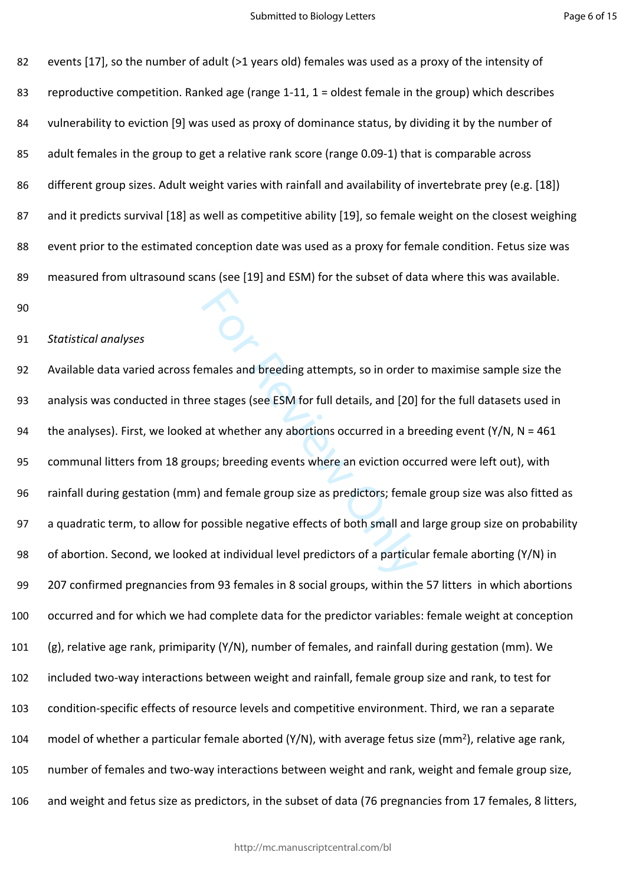events [17], so the number of adult (>1 years old) females was used as a proxy of the intensity of reproductive competition. Ranked age (range 1-11, 1 = oldest female in the group) which describes vulnerability to eviction [9] was used as proxy of dominance status, by dividing it by the number of 85 adult females in the group to get a relative rank score (range 0.09-1) that is comparable across different group sizes. Adult weight varies with rainfall and availability of invertebrate prey (e.g. [18]) 87 and it predicts survival [18] as well as competitive ability [19], so female weight on the closest weighing event prior to the estimated conception date was used as a proxy for female condition. Fetus size was measured from ultrasound scans (see [19] and ESM) for the subset of data where this was available.

#### *Statistical analyses*

males and breeding attempts, so in order<br>ee stages (see ESM for full details, and [20]<br>at whether any abortions occurred in a br<br>ups; breeding events where an eviction occ<br>and female group size as predictors; fema<br>possible Available data varied across females and breeding attempts, so in order to maximise sample size the analysis was conducted in three stages (see ESM for full details, and [20] for the full datasets used in 94 the analyses). First, we looked at whether any abortions occurred in a breeding event (Y/N, N = 461 communal litters from 18 groups; breeding events where an eviction occurred were left out), with rainfall during gestation (mm) and female group size as predictors; female group size was also fitted as a quadratic term, to allow for possible negative effects of both small and large group size on probability of abortion. Second, we looked at individual level predictors of a particular female aborting (Y/N) in 207 confirmed pregnancies from 93 females in 8 social groups, within the 57 litters in which abortions occurred and for which we had complete data for the predictor variables: female weight at conception (g), relative age rank, primiparity (Y/N), number of females, and rainfall during gestation (mm). We included two-way interactions between weight and rainfall, female group size and rank, to test for condition-specific effects of resource levels and competitive environment. Third, we ran a separate 104 model of whether a particular female aborted  $(Y/N)$ , with average fetus size (mm<sup>2</sup>), relative age rank, number of females and two-way interactions between weight and rank, weight and female group size, and weight and fetus size as predictors, in the subset of data (76 pregnancies from 17 females, 8 litters,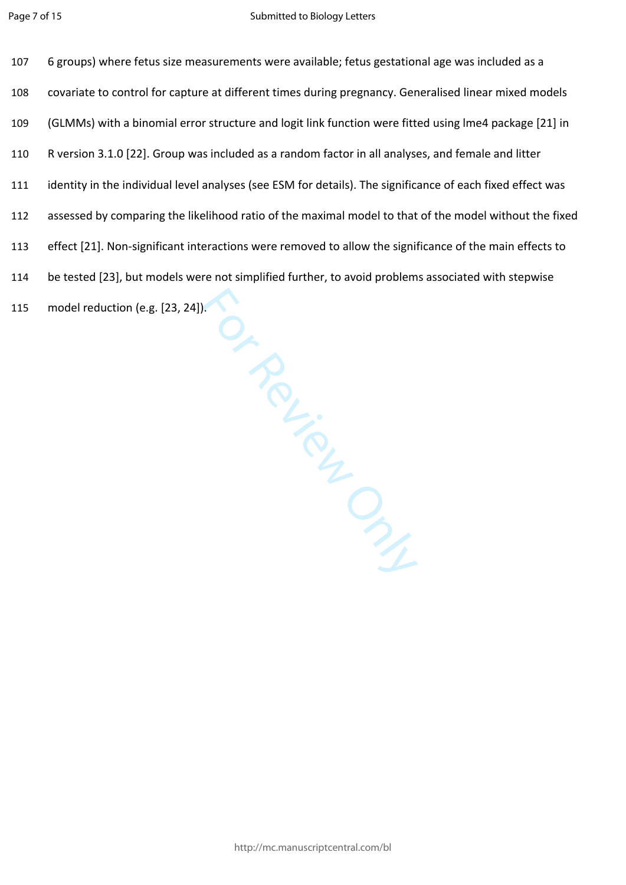Implified Contraction Contraction 6 groups) where fetus size measurements were available; fetus gestational age was included as a covariate to control for capture at different times during pregnancy. Generalised linear mixed models (GLMMs) with a binomial error structure and logit link function were fitted using lme4 package [21] in R version 3.1.0 [22]. Group was included as a random factor in all analyses, and female and litter identity in the individual level analyses (see ESM for details). The significance of each fixed effect was assessed by comparing the likelihood ratio of the maximal model to that of the model without the fixed effect [21]. Non-significant interactions were removed to allow the significance of the main effects to be tested [23], but models were not simplified further, to avoid problems associated with stepwise model reduction (e.g. [23, 24]).

http://mc.manuscriptcentral.com/bl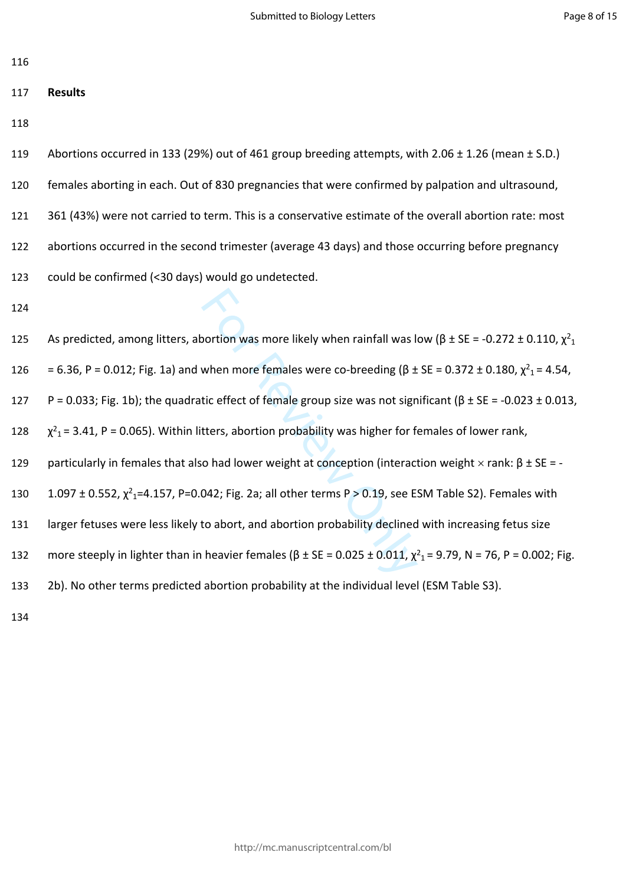116

## 117 **Results**

118

| 119 | Abortions occurred in 133 (29%) out of 461 group breeding attempts, with 2.06 $\pm$ 1.26 (mean $\pm$ S.D.) |
|-----|------------------------------------------------------------------------------------------------------------|
| 120 | females aborting in each. Out of 830 pregnancies that were confirmed by palpation and ultrasound,          |
| 121 | 361 (43%) were not carried to term. This is a conservative estimate of the overall abortion rate: most     |
| 122 | abortions occurred in the second trimester (average 43 days) and those occurring before pregnancy          |
| 123 | could be confirmed (<30 days) would go undetected.                                                         |

124

sortion was more likely when rainfall was l<br>when more females were co-breeding (β ±<br>tic effect of female group size was not sign<br>tters, abortion probability was higher for f<br>o had lower weight at conception (interaction) 125 As predicted, among litters, abortion was more likely when rainfall was low (β ± SE = -0.272 ± 0.110,  $\chi^2$ <sub>1</sub> 126 = 6.36, P = 0.012; Fig. 1a) and when more females were co-breeding (β ± SE = 0.372 ± 0.180,  $\chi^2$ <sub>1</sub> = 4.54, 127 P = 0.033; Fig. 1b); the quadratic effect of female group size was not significant ( $\beta \pm SE = -0.023 \pm 0.013$ , 128  $2<sub>1</sub>$  = 3.41, P = 0.065). Within litters, abortion probability was higher for females of lower rank, 129 particularly in females that also had lower weight at conception (interaction weight  $\times$  rank: β  $\pm$  SE = -130 1.097 ± 0.552,  $\chi^2$ <sub>1</sub>=4.157, P=0.042; Fig. 2a; all other terms P > 0.19, see ESM Table S2). Females with 131 larger fetuses were less likely to abort, and abortion probability declined with increasing fetus size 132 more steeply in lighter than in heavier females (β ± SE = 0.025 ± 0.011,  $\chi^2$ <sub>1</sub> = 9.79, N = 76, P = 0.002; Fig. 133 2b). No other terms predicted abortion probability at the individual level (ESM Table S3).

134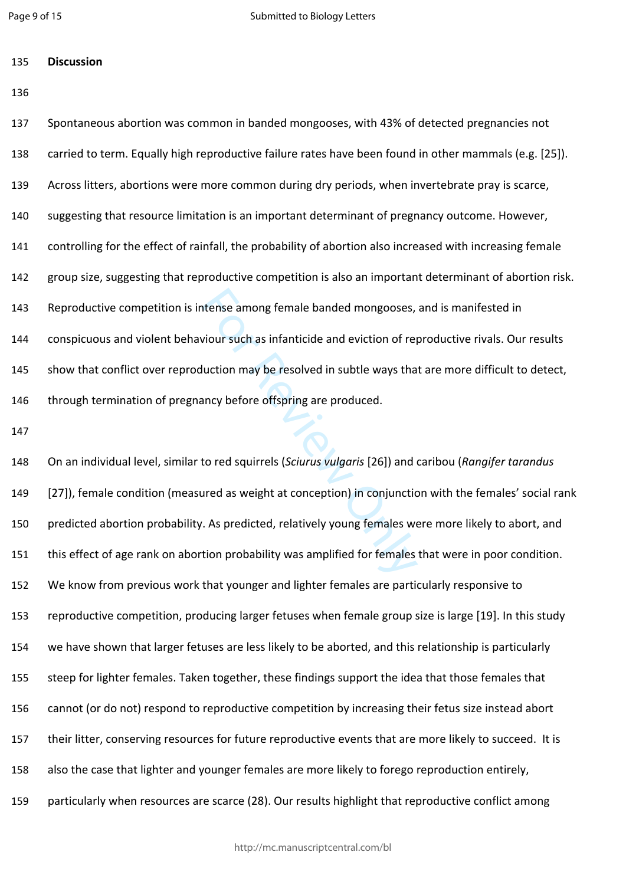**Discussion** 

 Spontaneous abortion was common in banded mongooses, with 43% of detected pregnancies not carried to term. Equally high reproductive failure rates have been found in other mammals (e.g. [25]). Across litters, abortions were more common during dry periods, when invertebrate pray is scarce, suggesting that resource limitation is an important determinant of pregnancy outcome. However, controlling for the effect of rainfall, the probability of abortion also increased with increasing female group size, suggesting that reproductive competition is also an important determinant of abortion risk. Reproductive competition is intense among female banded mongooses, and is manifested in conspicuous and violent behaviour such as infanticide and eviction of reproductive rivals. Our results show that conflict over reproduction may be resolved in subtle ways that are more difficult to detect, 146 through termination of pregnancy before offspring are produced.

The among female banded mongooses,<br>
viour such as infanticide and eviction of repluction may be resolved in subtle ways tha<br>
such thanger offspring are produced.<br>
to red squirrels (*Sciurus vulgaris* [26]) and<br>
ured as wei On an individual level, similar to red squirrels (*Sciurus vulgaris* [26]) and caribou (*Rangifer tarandus* [27]), female condition (measured as weight at conception) in conjunction with the females' social rank predicted abortion probability. As predicted, relatively young females were more likely to abort, and this effect of age rank on abortion probability was amplified for females that were in poor condition. We know from previous work that younger and lighter females are particularly responsive to reproductive competition, producing larger fetuses when female group size is large [19]. In this study we have shown that larger fetuses are less likely to be aborted, and this relationship is particularly steep for lighter females. Taken together, these findings support the idea that those females that cannot (or do not) respond to reproductive competition by increasing their fetus size instead abort their litter, conserving resources for future reproductive events that are more likely to succeed. It is also the case that lighter and younger females are more likely to forego reproduction entirely, particularly when resources are scarce (28). Our results highlight that reproductive conflict among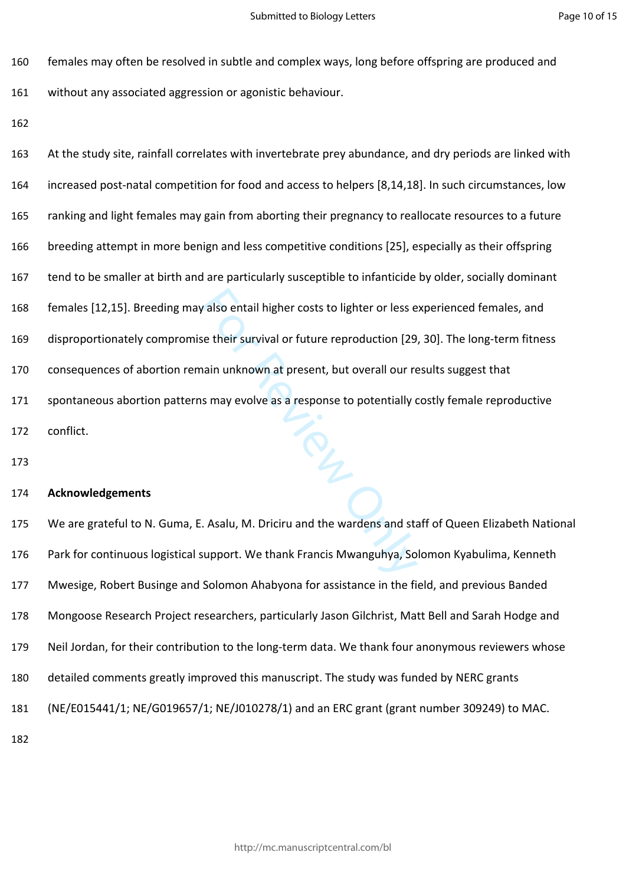females may often be resolved in subtle and complex ways, long before offspring are produced and

without any associated aggression or agonistic behaviour.

r also entail higher costs to lighter or less e<br>
se their survival or future reproduction [29<br>
hain unknown at present, but overall our re<br>
s may evolve as a response to potentially<br>
s may evolve as a response to potential At the study site, rainfall correlates with invertebrate prey abundance, and dry periods are linked with increased post-natal competition for food and access to helpers [8,14,18]. In such circumstances, low ranking and light females may gain from aborting their pregnancy to reallocate resources to a future breeding attempt in more benign and less competitive conditions [25], especially as their offspring tend to be smaller at birth and are particularly susceptible to infanticide by older, socially dominant females [12,15]. Breeding may also entail higher costs to lighter or less experienced females, and disproportionately compromise their survival or future reproduction [29, 30]. The long-term fitness consequences of abortion remain unknown at present, but overall our results suggest that spontaneous abortion patterns may evolve as a response to potentially costly female reproductive conflict.

#### **Acknowledgements**

 We are grateful to N. Guma, E. Asalu, M. Driciru and the wardens and staff of Queen Elizabeth National Park for continuous logistical support. We thank Francis Mwanguhya, Solomon Kyabulima, Kenneth Mwesige, Robert Businge and Solomon Ahabyona for assistance in the field, and previous Banded Mongoose Research Project researchers, particularly Jason Gilchrist, Matt Bell and Sarah Hodge and Neil Jordan, for their contribution to the long-term data. We thank four anonymous reviewers whose detailed comments greatly improved this manuscript. The study was funded by NERC grants (NE/E015441/1; NE/G019657/1; NE/J010278/1) and an ERC grant (grant number 309249) to MAC.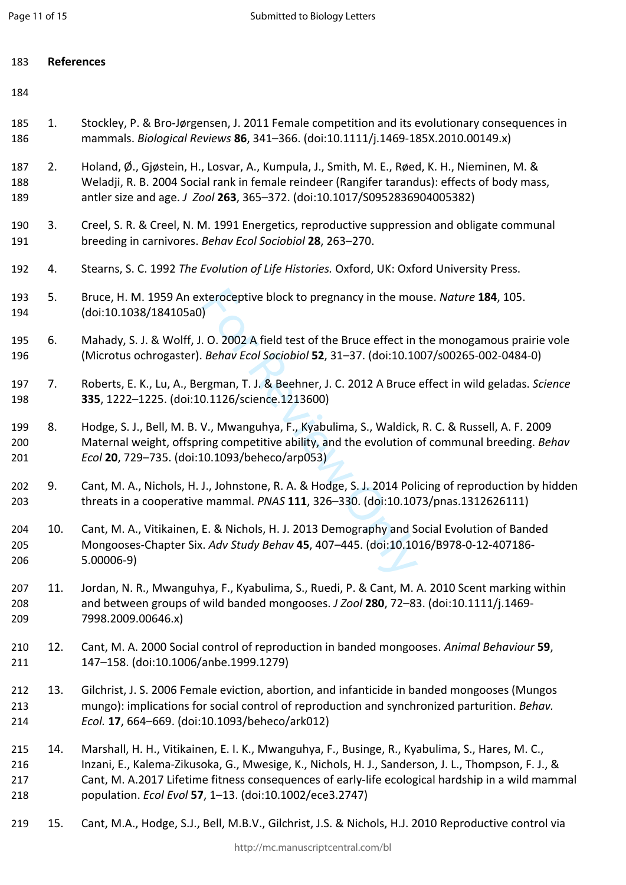- 
- 1. Stockley, P. & Bro-Jørgensen, J. 2011 Female competition and its evolutionary consequences in mammals. *Biological Reviews* **86**, 341–366. (doi:10.1111/j.1469-185X.2010.00149.x)
- 2. Holand, Ø., Gjøstein, H., Losvar, A., Kumpula, J., Smith, M. E., Røed, K. H., Nieminen, M. & Weladji, R. B. 2004 Social rank in female reindeer (Rangifer tarandus): effects of body mass, antler size and age. *J Zool* **263**, 365–372. (doi:10.1017/S0952836904005382)
- 3. Creel, S. R. & Creel, N. M. 1991 Energetics, reproductive suppression and obligate communal breeding in carnivores. *Behav Ecol Sociobiol* **28**, 263–270.
- 4. Stearns, S. C. 1992 *The Evolution of Life Histories.* Oxford, UK: Oxford University Press.
- 5. Bruce, H. M. 1959 An exteroceptive block to pregnancy in the mouse. *Nature* **184**, 105. (doi:10.1038/184105a0)
- 6. Mahady, S. J. & Wolff, J. O. 2002 A field test of the Bruce effect in the monogamous prairie vole (Microtus ochrogaster). *Behav Ecol Sociobiol* **52**, 31–37. (doi:10.1007/s00265-002-0484-0)
- 7. Roberts, E. K., Lu, A., Bergman, T. J. & Beehner, J. C. 2012 A Bruce effect in wild geladas. *Science* **335**, 1222–1225. (doi:10.1126/science.1213600)
- teroceptive block to pregnancy in the motol<br>
. O. 2002 A field test of the Bruce effect in<br> *Behav Ecol Sociobiol* **52**, 31–37. (doi:10.10<br>
rgman, T. J. & Beehner, J. C. 2012 A Bruce<br>
0.1126/science.1213600)<br>
V., Mwanguhya 8. Hodge, S. J., Bell, M. B. V., Mwanguhya, F., Kyabulima, S., Waldick, R. C. & Russell, A. F. 2009 Maternal weight, offspring competitive ability, and the evolution of communal breeding. *Behav Ecol* **20**, 729–735. (doi:10.1093/beheco/arp053)
- 9. Cant, M. A., Nichols, H. J., Johnstone, R. A. & Hodge, S. J. 2014 Policing of reproduction by hidden threats in a cooperative mammal. *PNAS* **111**, 326–330. (doi:10.1073/pnas.1312626111)
- 10. Cant, M. A., Vitikainen, E. & Nichols, H. J. 2013 Demography and Social Evolution of Banded Mongooses-Chapter Six. *Adv Study Behav* **45**, 407–445. (doi:10.1016/B978-0-12-407186- 5.00006-9)
- 11. Jordan, N. R., Mwanguhya, F., Kyabulima, S., Ruedi, P. & Cant, M. A. 2010 Scent marking within and between groups of wild banded mongooses. *J Zool* **280**, 72–83. (doi:10.1111/j.1469- 7998.2009.00646.x)
- 12. Cant, M. A. 2000 Social control of reproduction in banded mongooses. *Animal Behaviour* **59**, 147–158. (doi:10.1006/anbe.1999.1279)
- 13. Gilchrist, J. S. 2006 Female eviction, abortion, and infanticide in banded mongooses (Mungos mungo): implications for social control of reproduction and synchronized parturition. *Behav. Ecol.* **17**, 664–669. (doi:10.1093/beheco/ark012)
- 14. Marshall, H. H., Vitikainen, E. I. K., Mwanguhya, F., Businge, R., Kyabulima, S., Hares, M. C., Inzani, E., Kalema-Zikusoka, G., Mwesige, K., Nichols, H. J., Sanderson, J. L., Thompson, F. J., & Cant, M. A.2017 Lifetime fitness consequences of early-life ecological hardship in a wild mammal population. *Ecol Evol* **57**, 1–13. (doi:10.1002/ece3.2747)
- 15. Cant, M.A., Hodge, S.J., Bell, M.B.V., Gilchrist, J.S. & Nichols, H.J. 2010 Reproductive control via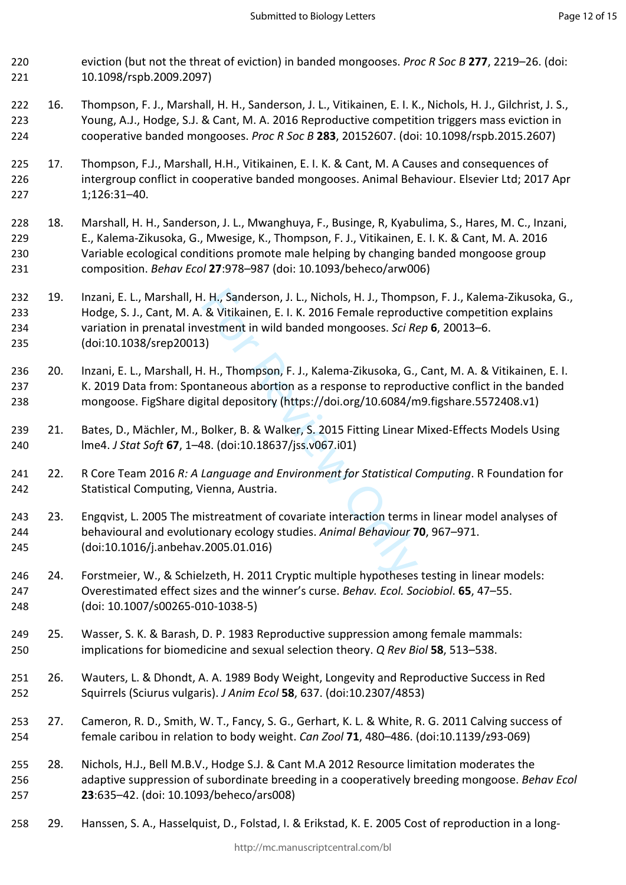- eviction (but not the threat of eviction) in banded mongooses. *Proc R Soc B* **277**, 2219–26. (doi: 10.1098/rspb.2009.2097)
- 16. Thompson, F. J., Marshall, H. H., Sanderson, J. L., Vitikainen, E. I. K., Nichols, H. J., Gilchrist, J. S., Young, A.J., Hodge, S.J. & Cant, M. A. 2016 Reproductive competition triggers mass eviction in cooperative banded mongooses. *Proc R Soc B* **283**, 20152607. (doi: 10.1098/rspb.2015.2607)
- 17. Thompson, F.J., Marshall, H.H., Vitikainen, E. I. K. & Cant, M. A Causes and consequences of intergroup conflict in cooperative banded mongooses. Animal Behaviour. Elsevier Ltd; 2017 Apr 1;126:31–40.
- 18. Marshall, H. H., Sanderson, J. L., Mwanghuya, F., Businge, R, Kyabulima, S., Hares, M. C., Inzani, E., Kalema-Zikusoka, G., Mwesige, K., Thompson, F. J., Vitikainen, E. I. K. & Cant, M. A. 2016 Variable ecological conditions promote male helping by changing banded mongoose group composition. *Behav Ecol* **27**:978–987 (doi: 10.1093/beheco/arw006)
- I. H., Sanderson, J. L., Nichols, H. J., Thomp<br>
& Vitikainen, E. I. K. 2016 Female reprodu<br>
estment in wild banded mongooses. *Sci Re*<br>
3)<br>
1. H., Thompson, F. J., Kalema-Zikusoka, G.,<br>
taneous abortion as a response to re 19. Inzani, E. L., Marshall, H. H., Sanderson, J. L., Nichols, H. J., Thompson, F. J., Kalema-Zikusoka, G., Hodge, S. J., Cant, M. A. & Vitikainen, E. I. K. 2016 Female reproductive competition explains variation in prenatal investment in wild banded mongooses. *Sci Rep* **6**, 20013–6. (doi:10.1038/srep20013)
- 20. Inzani, E. L., Marshall, H. H., Thompson, F. J., Kalema-Zikusoka, G., Cant, M. A. & Vitikainen, E. I. K. 2019 Data from: Spontaneous abortion as a response to reproductive conflict in the banded mongoose. FigShare digital depository (https://doi.org/10.6084/m9.figshare.5572408.v1)
- 21. Bates, D., Mächler, M., Bolker, B. & Walker, S. 2015 Fitting Linear Mixed-Effects Models Using lme4. *J Stat Soft* **67**, 1–48. (doi:10.18637/jss.v067.i01)
- 22. R Core Team 2016 *R: A Language and Environment for Statistical Computing*. R Foundation for Statistical Computing, Vienna, Austria.
- 23. Engqvist, L. 2005 The mistreatment of covariate interaction terms in linear model analyses of behavioural and evolutionary ecology studies. *Animal Behaviour* **70**, 967–971. (doi:10.1016/j.anbehav.2005.01.016)
- 24. Forstmeier, W., & Schielzeth, H. 2011 Cryptic multiple hypotheses testing in linear models: Overestimated effect sizes and the winner's curse. *Behav. Ecol. Sociobiol*. **65**, 47–55. (doi: 10.1007/s00265-010-1038-5)
- 25. Wasser, S. K. & Barash, D. P. 1983 Reproductive suppression among female mammals: implications for biomedicine and sexual selection theory. *Q Rev Biol* **58**, 513–538.
- 26. Wauters, L. & Dhondt, A. A. 1989 Body Weight, Longevity and Reproductive Success in Red Squirrels (Sciurus vulgaris). *J Anim Ecol* **58**, 637. (doi:10.2307/4853)
- 27. Cameron, R. D., Smith, W. T., Fancy, S. G., Gerhart, K. L. & White, R. G. 2011 Calving success of female caribou in relation to body weight. *Can Zool* **71**, 480–486. (doi:10.1139/z93-069)
- 28. Nichols, H.J., Bell M.B.V., Hodge S.J. & Cant M.A 2012 Resource limitation moderates the adaptive suppression of subordinate breeding in a cooperatively breeding mongoose. *Behav Ecol* **23**:635–42. (doi: 10.1093/beheco/ars008)
- 29. Hanssen, S. A., Hasselquist, D., Folstad, I. & Erikstad, K. E. 2005 Cost of reproduction in a long-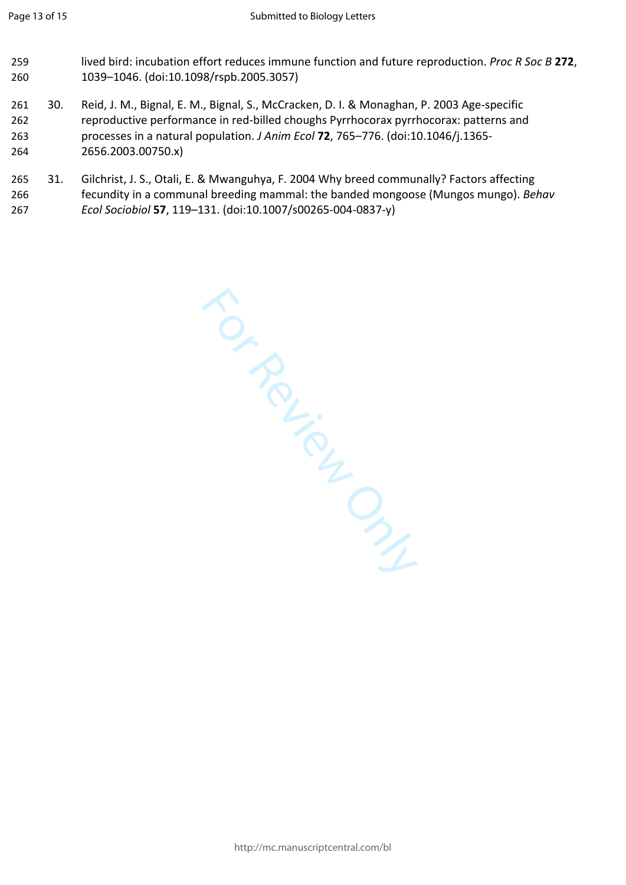- lived bird: incubation effort reduces immune function and future reproduction. *Proc R Soc B* **272**, 1039–1046. (doi:10.1098/rspb.2005.3057)
- 30. Reid, J. M., Bignal, E. M., Bignal, S., McCracken, D. I. & Monaghan, P. 2003 Age-specific reproductive performance in red-billed choughs Pyrrhocorax pyrrhocorax: patterns and processes in a natural population. *J Anim Ecol* **72**, 765–776. (doi:10.1046/j.1365- 2656.2003.00750.x)
- 31. Gilchrist, J. S., Otali, E. & Mwanguhya, F. 2004 Why breed communally? Factors affecting fecundity in a communal breeding mammal: the banded mongoose (Mungos mungo). *Behav Ecol Sociobiol* **57**, 119–131. (doi:10.1007/s00265-004-0837-y)

For Review Only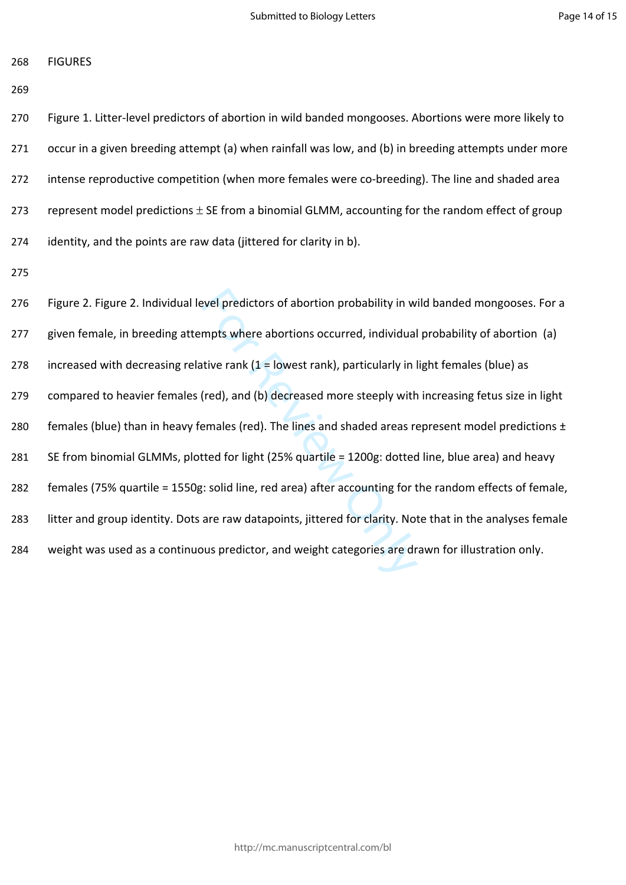FIGURES

 Figure 1. Litter-level predictors of abortion in wild banded mongooses. Abortions were more likely to occur in a given breeding attempt (a) when rainfall was low, and (b) in breeding attempts under more intense reproductive competition (when more females were co-breeding). The line and shaded area 273 represent model predictions  $\pm$  SE from a binomial GLMM, accounting for the random effect of group identity, and the points are raw data (jittered for clarity in b).

evel predictors of abortion probability in w<br>mpts where abortions occurred, individual<br>tive rank (1 = lowest rank), particularly in l<br>(red), and (b) decreased more steeply with<br>emales (red). The lines and shaded areas re<br>t Figure 2. Figure 2. Individual level predictors of abortion probability in wild banded mongooses. For a given female, in breeding attempts where abortions occurred, individual probability of abortion (a) 278 increased with decreasing relative rank  $(1 =$  lowest rank), particularly in light females (blue) as compared to heavier females (red), and (b) decreased more steeply with increasing fetus size in light 280 females (blue) than in heavy females (red). The lines and shaded areas represent model predictions ± SE from binomial GLMMs, plotted for light (25% quartile = 1200g: dotted line, blue area) and heavy females (75% quartile = 1550g: solid line, red area) after accounting for the random effects of female, litter and group identity. Dots are raw datapoints, jittered for clarity. Note that in the analyses female weight was used as a continuous predictor, and weight categories are drawn for illustration only.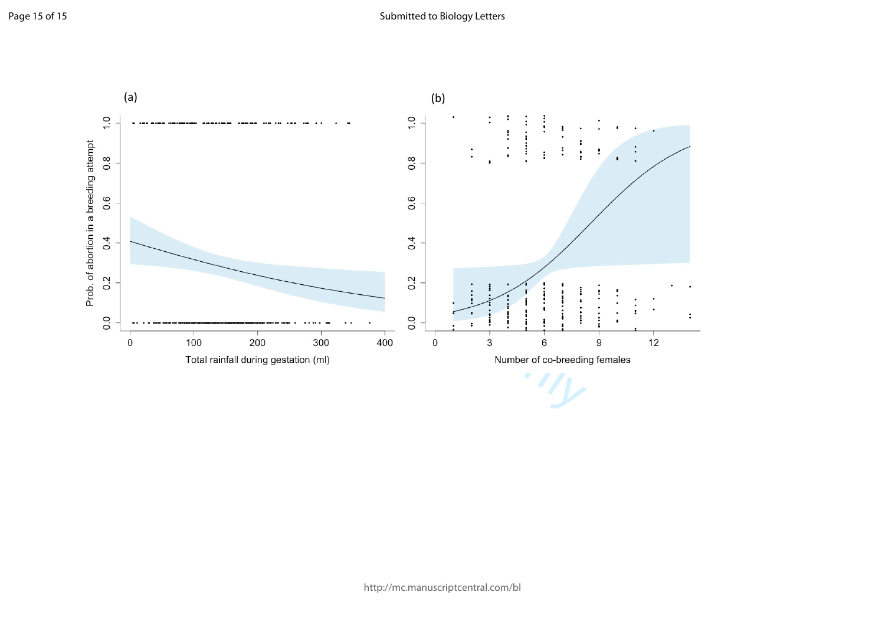